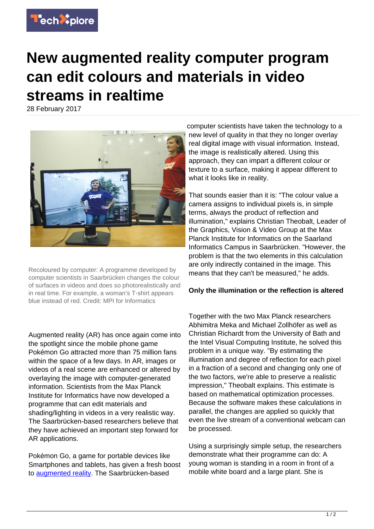

## **New augmented reality computer program can edit colours and materials in video streams in realtime**

28 February 2017



Recoloured by computer: A programme developed by computer scientists in Saarbrücken changes the colour of surfaces in videos and does so photorealistically and in real time. For example, a woman's T-shirt appears blue instead of red. Credit: MPI for Informatics

Augmented reality (AR) has once again come into the spotlight since the mobile phone game Pokémon Go attracted more than 75 million fans within the space of a few days. In AR, images or videos of a real scene are enhanced or altered by overlaying the image with computer-generated information. Scientists from the Max Planck Institute for Informatics have now developed a programme that can edit materials and shading/lighting in videos in a very realistic way. The Saarbrücken-based researchers believe that they have achieved an important step forward for AR applications.

Pokémon Go, a game for portable devices like Smartphones and tablets, has given a fresh boost to [augmented reality](https://techxplore.com/tags/augmented+reality/). The Saarbrücken-based

computer scientists have taken the technology to a new level of quality in that they no longer overlay real digital image with visual information. Instead, the image is realistically altered. Using this approach, they can impart a different colour or texture to a surface, making it appear different to what it looks like in reality.

That sounds easier than it is: "The colour value a camera assigns to individual pixels is, in simple terms, always the product of reflection and illumination," explains Christian Theobalt, Leader of the Graphics, Vision & Video Group at the Max Planck Institute for Informatics on the Saarland Informatics Campus in Saarbrücken. "However, the problem is that the two elements in this calculation are only indirectly contained in the image. This means that they can't be measured," he adds.

## **Only the illumination or the reflection is altered**

Together with the two Max Planck researchers Abhimitra Meka and Michael Zollhöfer as well as Christian Richardt from the University of Bath and the Intel Visual Computing Institute, he solved this problem in a unique way. "By estimating the illumination and degree of reflection for each pixel in a fraction of a second and changing only one of the two factors, we're able to preserve a realistic impression," Theobalt explains. This estimate is based on mathematical optimization processes. Because the software makes these calculations in parallel, the changes are applied so quickly that even the live stream of a conventional webcam can be processed.

Using a surprisingly simple setup, the researchers demonstrate what their programme can do: A young woman is standing in a room in front of a mobile white board and a large plant. She is